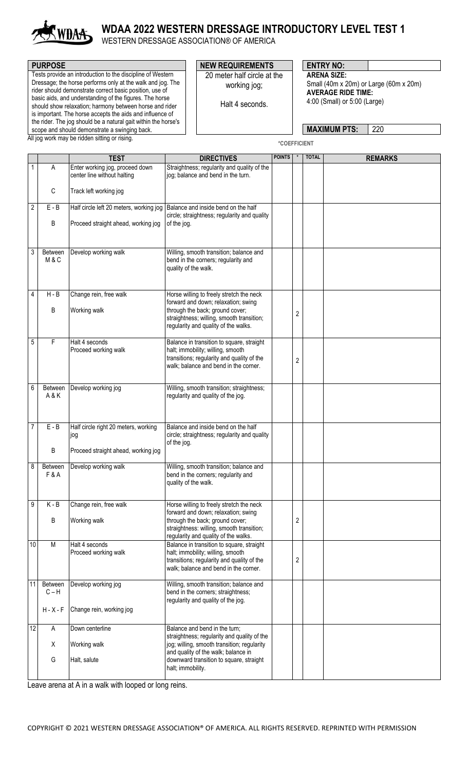

## **WDAA 2022 WESTERN DRESSAGE INTRODUCTORY LEVEL TEST 1**

WESTERN DRESSAGE ASSOCIATION® OF AMERICA

| <b>PURPOSE</b><br>Tests provide an introduction to the discipline of Western<br>Dressage; the horse performs only at the walk and jog. The<br>rider should demonstrate correct basic position, use of<br>basic aids, and understanding of the figures. The horse<br>should show relaxation; harmony between horse and rider<br>is important. The horse accepts the aids and influence of<br>the rider. The jog should be a natural gait within the horse's<br>scope and should demonstrate a swinging back.<br>All jog work may be ridden sitting or rising. |  |   |                                                                |  | <b>NEW REQUIREMENTS</b><br>20 meter half circle at the<br>working jog;<br>Halt 4 seconds. |                               | <b>ENTRY NO:</b><br><b>ARENA SIZE:</b><br>Small (40m x 20m) or Large (60m x 20m)<br><b>AVERAGE RIDE TIME:</b><br>4:00 (Small) or 5:00 (Large)<br><b>MAXIMUM PTS:</b><br>220 |              |  |                |  |
|--------------------------------------------------------------------------------------------------------------------------------------------------------------------------------------------------------------------------------------------------------------------------------------------------------------------------------------------------------------------------------------------------------------------------------------------------------------------------------------------------------------------------------------------------------------|--|---|----------------------------------------------------------------|--|-------------------------------------------------------------------------------------------|-------------------------------|-----------------------------------------------------------------------------------------------------------------------------------------------------------------------------|--------------|--|----------------|--|
|                                                                                                                                                                                                                                                                                                                                                                                                                                                                                                                                                              |  |   |                                                                |  |                                                                                           | *COEFFICIENT<br><b>POINTS</b> |                                                                                                                                                                             | <b>TOTAL</b> |  |                |  |
|                                                                                                                                                                                                                                                                                                                                                                                                                                                                                                                                                              |  |   | TEST                                                           |  | <b>DIRECTIVES</b>                                                                         |                               |                                                                                                                                                                             |              |  | <b>REMARKS</b> |  |
|                                                                                                                                                                                                                                                                                                                                                                                                                                                                                                                                                              |  | A | Enter working jog, proceed down<br>center line without halting |  | Straightness; regularity and quality of the<br>jog; balance and bend in the turn.         |                               |                                                                                                                                                                             |              |  |                |  |

|                           | center line without halting             | jog; balance and bend in the turn.                                                  |                  |  |
|---------------------------|-----------------------------------------|-------------------------------------------------------------------------------------|------------------|--|
| C                         | Track left working jog                  |                                                                                     |                  |  |
| $\overline{2}$<br>$E - B$ | Half circle left 20 meters, working jog | Balance and inside bend on the half<br>circle; straightness; regularity and quality |                  |  |
| B                         | Proceed straight ahead, working jog     | of the jog.                                                                         |                  |  |
|                           |                                         |                                                                                     |                  |  |
| 3<br>Between<br>M&C       | Develop working walk                    | Willing, smooth transition; balance and                                             |                  |  |
|                           |                                         | bend in the corners; regularity and<br>quality of the walk.                         |                  |  |
|                           |                                         |                                                                                     |                  |  |
| 4<br>$H - B$              | Change rein, free walk                  | Horse willing to freely stretch the neck                                            |                  |  |
| B                         | Working walk                            | forward and down; relaxation; swing<br>through the back; ground cover;              | $\boldsymbol{2}$ |  |
|                           |                                         | straightness; willing, smooth transition;<br>regularity and quality of the walks.   |                  |  |
| $\sqrt{5}$<br>F           | Halt 4 seconds                          | Balance in transition to square, straight                                           |                  |  |
|                           | Proceed working walk                    | halt; immobility; willing, smooth                                                   |                  |  |
|                           |                                         | transitions; regularity and quality of the<br>walk; balance and bend in the corner. | $\sqrt{2}$       |  |
|                           |                                         |                                                                                     |                  |  |
| 6<br>Between<br>A&K       | Develop working jog                     | Willing, smooth transition; straightness;<br>regularity and quality of the jog.     |                  |  |
|                           |                                         |                                                                                     |                  |  |
| 7<br>$E - B$              | Half circle right 20 meters, working    | Balance and inside bend on the half                                                 |                  |  |
|                           | jog                                     | circle; straightness; regularity and quality                                        |                  |  |
| B                         | Proceed straight ahead, working jog     | of the jog.                                                                         |                  |  |
| 8<br>Between              | Develop working walk                    | Willing, smooth transition; balance and                                             |                  |  |
| F&A                       |                                         | bend in the corners; regularity and<br>quality of the walk.                         |                  |  |
|                           |                                         |                                                                                     |                  |  |
| 9<br>$K - B$              | Change rein, free walk                  | Horse willing to freely stretch the neck<br>forward and down; relaxation; swing     |                  |  |
| B                         | Working walk                            | through the back; ground cover;                                                     | $\boldsymbol{2}$ |  |
|                           |                                         | straightness: willing, smooth transition;<br>regularity and quality of the walks.   |                  |  |
| 10<br>M                   | Halt 4 seconds<br>Proceed working walk  | Balance in transition to square, straight<br>halt; immobility; willing, smooth      |                  |  |
|                           |                                         | transitions; regularity and quality of the<br>walk; balance and bend in the corner. | $\boldsymbol{2}$ |  |
|                           |                                         |                                                                                     |                  |  |
| 11<br>Between<br>$C - H$  | Develop working jog                     | Willing, smooth transition; balance and<br>bend in the corners; straightness;       |                  |  |
| $H - X - F$               | Change rein, working jog                | regularity and quality of the jog.                                                  |                  |  |
|                           |                                         |                                                                                     |                  |  |
| 12<br>Α                   | Down centerline                         | Balance and bend in the turn;<br>straightness; regularity and quality of the        |                  |  |
| Χ                         | Working walk                            | jog; willing, smooth transition; regularity<br>and quality of the walk; balance in  |                  |  |
| G                         | Halt, salute                            | downward transition to square, straight                                             |                  |  |
|                           |                                         | halt; immobility.                                                                   |                  |  |

Leave arena at A in a walk with looped or long reins.